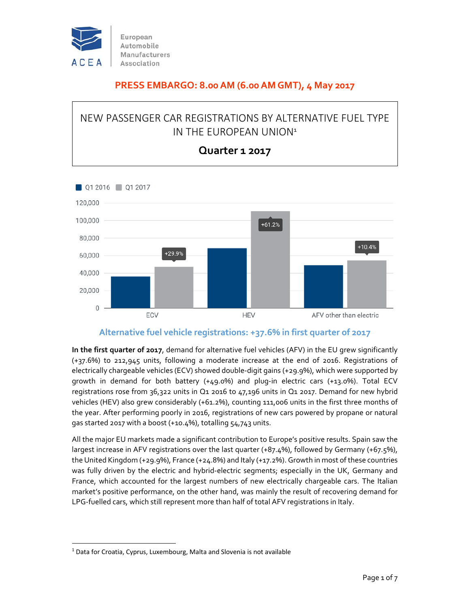

#### **PRESS EMBARGO: 8.00 AM (6.00 AM GMT), 4 May 2017**

### NEW PASSENGER CAR REGISTRATIONS BY ALTERNATIVE FUEL TYPE IN THE EUROPEAN UNION<sup>1</sup>



#### **Quarter 1 2017**

#### **Alternative fuel vehicle registrations: +37.6% in first quarter of 2017**

**In the first quarter of 2017**, demand for alternative fuel vehicles (AFV) in the EU grew significantly (+37.6%) to 212,945 units, following a moderate increase at the end of 2016. Registrations of electrically chargeable vehicles (ECV) showed double‐digit gains (+29.9%), which were supported by growth in demand for both battery (+49.0%) and plug‐in electric cars (+13.0%). Total ECV registrations rose from 36,322 units in Q1 2016 to 47,196 units in Q1 2017. Demand for new hybrid vehicles (HEV) also grew considerably (+61.2%), counting 111,006 units in the first three months of the year. After performing poorly in 2016, registrations of new cars powered by propane or natural gas started 2017 with a boost (+10.4%), totalling 54,743 units.

All the major EU markets made a significant contribution to Europe's positive results. Spain saw the largest increase in AFV registrations over the last quarter (+87.4%), followed by Germany (+67.5%), the United Kingdom (+29.9%), France (+24.8%) and Italy (+17.2%). Growth in most ofthese countries was fully driven by the electric and hybrid-electric segments; especially in the UK, Germany and France, which accounted for the largest numbers of new electrically chargeable cars. The Italian market's positive performance, on the other hand, was mainly the result of recovering demand for LPG-fuelled cars, which still represent more than half of total AFV registrations in Italy.

 $<sup>1</sup>$  Data for Croatia, Cyprus, Luxembourg, Malta and Slovenia is not available</sup>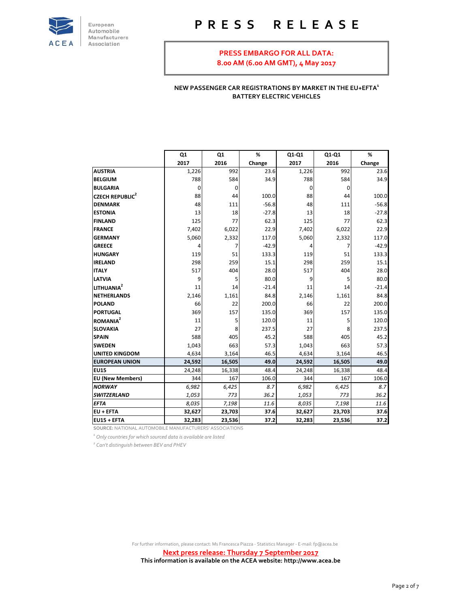

## **P R E S S R E L E A S E**

**PRESS EMBARGO FOR ALL DATA: 8.00 AM (6.00 AM GMT), 4 May 2017**

**NEW PASSENGER CAR REGISTRATIONS BY MARKET IN THE EU+EFTA<sup>1</sup> BATTERY ELECTRIC VEHICLES**

|                                   | Q1     | Q1     | %       | Q1-Q1  | Q1-Q1  | %       |
|-----------------------------------|--------|--------|---------|--------|--------|---------|
|                                   | 2017   | 2016   | Change  | 2017   | 2016   | Change  |
| <b>AUSTRIA</b>                    | 1,226  | 992    | 23.6    | 1,226  | 992    | 23.6    |
| <b>BELGIUM</b>                    | 788    | 584    | 34.9    | 788    | 584    | 34.9    |
| <b>BULGARIA</b>                   | 0      | 0      |         | 0      | 0      |         |
| <b>CZECH REPUBLIC<sup>2</sup></b> | 88     | 44     | 100.0   | 88     | 44     | 100.0   |
| <b>DENMARK</b>                    | 48     | 111    | $-56.8$ | 48     | 111    | $-56.8$ |
| <b>ESTONIA</b>                    | 13     | 18     | $-27.8$ | 13     | 18     | $-27.8$ |
| <b>FINLAND</b>                    | 125    | 77     | 62.3    | 125    | 77     | 62.3    |
| <b>FRANCE</b>                     | 7,402  | 6,022  | 22.9    | 7,402  | 6,022  | 22.9    |
| <b>GERMANY</b>                    | 5,060  | 2,332  | 117.0   | 5,060  | 2,332  | 117.0   |
| <b>GREECE</b>                     | 4      | 7      | $-42.9$ | 4      | 7      | $-42.9$ |
| <b>HUNGARY</b>                    | 119    | 51     | 133.3   | 119    | 51     | 133.3   |
| <b>IRELAND</b>                    | 298    | 259    | 15.1    | 298    | 259    | 15.1    |
| <b>ITALY</b>                      | 517    | 404    | 28.0    | 517    | 404    | 28.0    |
| <b>LATVIA</b>                     | 9      | 5      | 80.0    | 9      | 5      | 80.0    |
| LITHUANIA <sup>2</sup>            | 11     | 14     | $-21.4$ | 11     | 14     | $-21.4$ |
| <b>NETHERLANDS</b>                | 2,146  | 1,161  | 84.8    | 2,146  | 1,161  | 84.8    |
| <b>POLAND</b>                     | 66     | 22     | 200.0   | 66     | 22     | 200.0   |
| <b>PORTUGAL</b>                   | 369    | 157    | 135.0   | 369    | 157    | 135.0   |
| ROMANIA <sup>2</sup>              | 11     | 5      | 120.0   | 11     | 5      | 120.0   |
| <b>SLOVAKIA</b>                   | 27     | 8      | 237.5   | 27     | 8      | 237.5   |
| <b>SPAIN</b>                      | 588    | 405    | 45.2    | 588    | 405    | 45.2    |
| <b>SWEDEN</b>                     | 1,043  | 663    | 57.3    | 1,043  | 663    | 57.3    |
| <b>UNITED KINGDOM</b>             | 4,634  | 3,164  | 46.5    | 4,634  | 3,164  | 46.5    |
| <b>EUROPEAN UNION</b>             | 24,592 | 16,505 | 49.0    | 24,592 | 16,505 | 49.0    |
| <b>EU15</b>                       | 24,248 | 16,338 | 48.4    | 24,248 | 16,338 | 48.4    |
| <b>EU (New Members)</b>           | 344    | 167    | 106.0   | 344    | 167    | 106.0   |
| <b>NORWAY</b>                     | 6,982  | 6,425  | 8.7     | 6,982  | 6,425  | 8.7     |
| <b>SWITZERLAND</b>                | 1,053  | 773    | 36.2    | 1,053  | 773    | 36.2    |
| <b>EFTA</b>                       | 8,035  | 7,198  | 11.6    | 8,035  | 7,198  | 11.6    |
| <b>EU + EFTA</b>                  | 32,627 | 23,703 | 37.6    | 32,627 | 23,703 | 37.6    |
| EU15 + EFTA                       | 32,283 | 23,536 | 37.2    | 32,283 | 23,536 | 37.2    |

**SOURCE:** NATIONAL AUTOMOBILE MANUFACTURERS' ASSOCIATIONS

*1 Only countries for which sourced data is available are listed*

*<sup>2</sup> Can't distinguish between BEV and PHEV*

For further information, please contact: Ms Francesca Piazza ‐ Statistics Manager ‐ E‐mail: fp@acea.be

**Next press release: Thursday 7 September 2017 This information is available on the ACEA website: http://www.acea.be**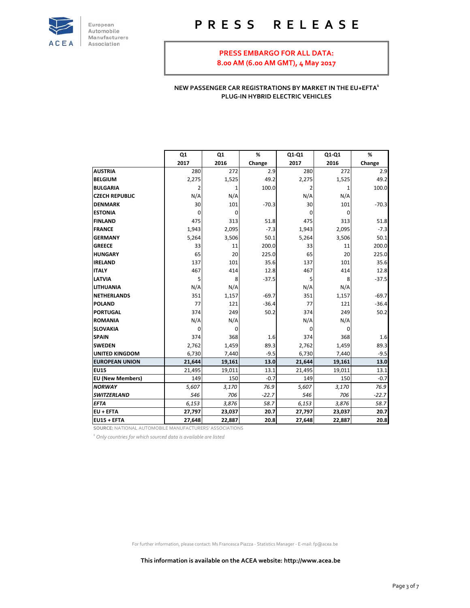

## **P R E S S R E L E A S E**

#### **PRESS EMBARGO FOR ALL DATA: 8.00 AM (6.00 AM GMT), 4 May 2017**

#### **NEW PASSENGER CAR REGISTRATIONS BY MARKET IN THE EU+EFTA<sup>1</sup> PLUG‐IN HYBRID ELECTRIC VEHICLES**

|                                                         | Q <sub>1</sub> | Q1     | %       | Q1-Q1  | Q1-Q1  | %       |
|---------------------------------------------------------|----------------|--------|---------|--------|--------|---------|
|                                                         | 2017           | 2016   | Change  | 2017   | 2016   | Change  |
| <b>AUSTRIA</b>                                          | 280            | 272    | 2.9     | 280    | 272    | 2.9     |
| <b>BELGIUM</b>                                          | 2,275          | 1,525  | 49.2    | 2,275  | 1,525  | 49.2    |
| <b>BULGARIA</b>                                         | 2              | 1      | 100.0   | 2      | 1      | 100.0   |
| <b>CZECH REPUBLIC</b>                                   | N/A            | N/A    |         | N/A    | N/A    |         |
| <b>DENMARK</b>                                          | 30             | 101    | $-70.3$ | 30     | 101    | $-70.3$ |
| <b>ESTONIA</b>                                          | 0              | 0      |         | 0      | 0      |         |
| <b>FINLAND</b>                                          | 475            | 313    | 51.8    | 475    | 313    | 51.8    |
| <b>FRANCE</b>                                           | 1,943          | 2,095  | $-7.3$  | 1,943  | 2,095  | $-7.3$  |
| <b>GERMANY</b>                                          | 5,264          | 3,506  | 50.1    | 5,264  | 3,506  | 50.1    |
| <b>GREECE</b>                                           | 33             | 11     | 200.0   | 33     | 11     | 200.0   |
| <b>HUNGARY</b>                                          | 65             | 20     | 225.0   | 65     | 20     | 225.0   |
| <b>IRELAND</b>                                          | 137            | 101    | 35.6    | 137    | 101    | 35.6    |
| <b>ITALY</b>                                            | 467            | 414    | 12.8    | 467    | 414    | 12.8    |
| <b>LATVIA</b>                                           | 5              | 8      | $-37.5$ | 5      | 8      | $-37.5$ |
| <b>LITHUANIA</b>                                        | N/A            | N/A    |         | N/A    | N/A    |         |
| <b>NETHERLANDS</b>                                      | 351            | 1,157  | $-69.7$ | 351    | 1,157  | $-69.7$ |
| <b>POLAND</b>                                           | 77             | 121    | $-36.4$ | 77     | 121    | $-36.4$ |
| <b>PORTUGAL</b>                                         | 374            | 249    | 50.2    | 374    | 249    | 50.2    |
| <b>ROMANIA</b>                                          | N/A            | N/A    |         | N/A    | N/A    |         |
| <b>SLOVAKIA</b>                                         | 0              | 0      |         | 0      | 0      |         |
| <b>SPAIN</b>                                            | 374            | 368    | 1.6     | 374    | 368    | 1.6     |
| <b>SWEDEN</b>                                           | 2,762          | 1,459  | 89.3    | 2,762  | 1,459  | 89.3    |
| <b>UNITED KINGDOM</b>                                   | 6,730          | 7,440  | $-9.5$  | 6,730  | 7,440  | $-9.5$  |
| <b>EUROPEAN UNION</b>                                   | 21,644         | 19,161 | 13.0    | 21,644 | 19,161 | 13.0    |
| EU15                                                    | 21,495         | 19,011 | 13.1    | 21,495 | 19,011 | 13.1    |
| <b>EU (New Members)</b>                                 | 149            | 150    | $-0.7$  | 149    | 150    | $-0.7$  |
| <b>NORWAY</b>                                           | 5,607          | 3,170  | 76.9    | 5,607  | 3,170  | 76.9    |
| <b>SWITZERLAND</b>                                      | 546            | 706    | $-22.7$ | 546    | 706    | $-22.7$ |
| <b>EFTA</b>                                             | 6,153          | 3,876  | 58.7    | 6,153  | 3,876  | 58.7    |
| <b>EU + EFTA</b>                                        | 27,797         | 23,037 | 20.7    | 27,797 | 23,037 | 20.7    |
| EU15 + EFTA                                             | 27,648         | 22,887 | 20.8    | 27,648 | 22,887 | 20.8    |
| SOURCE: NATIONAL AUTOMOBILE MANUFACTURERS' ASSOCIATIONS |                |        |         |        |        |         |

*1 Only countries for which sourced data is available are listed*

For further information, please contact: Ms Francesca Piazza ‐ Statistics Manager ‐ E‐mail: fp@acea.be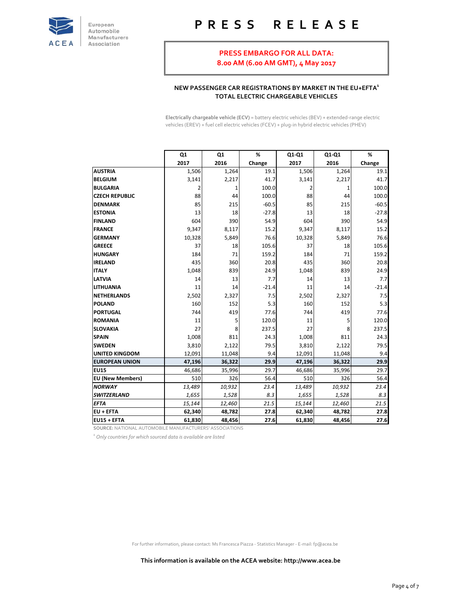

# **P R E S S R E L E A S E**

### **PRESS EMBARGO FOR ALL DATA:**

**8.00 AM (6.00 AM GMT), 4 May 2017**

#### **NEW PASSENGER CAR REGISTRATIONS BY MARKET IN THE EU+EFTA<sup>1</sup> TOTAL ELECTRIC CHARGEABLE VEHICLES**

**Electrically chargeable vehicle (ECV)** = battery electric vehicles (BEV) + extended‐range electric vehicles (EREV) + fuel cell electric vehicles (FCEV) + plug-in hybrid electric vehicles (PHEV)

|                         | Q <sub>1</sub> | Q1     | %       | Q1-Q1  | Q1-Q1  | %       |
|-------------------------|----------------|--------|---------|--------|--------|---------|
|                         | 2017           | 2016   | Change  | 2017   | 2016   | Change  |
| <b>AUSTRIA</b>          | 1,506          | 1,264  | 19.1    | 1,506  | 1,264  | 19.1    |
| <b>BELGIUM</b>          | 3,141          | 2,217  | 41.7    | 3,141  | 2,217  | 41.7    |
| <b>BULGARIA</b>         | 2              | 1      | 100.0   | 2      | 1      | 100.0   |
| <b>CZECH REPUBLIC</b>   | 88             | 44     | 100.0   | 88     | 44     | 100.0   |
| <b>DENMARK</b>          | 85             | 215    | $-60.5$ | 85     | 215    | $-60.5$ |
| <b>ESTONIA</b>          | 13             | 18     | $-27.8$ | 13     | 18     | $-27.8$ |
| <b>FINLAND</b>          | 604            | 390    | 54.9    | 604    | 390    | 54.9    |
| <b>FRANCE</b>           | 9,347          | 8,117  | 15.2    | 9,347  | 8,117  | 15.2    |
| <b>GERMANY</b>          | 10,328         | 5,849  | 76.6    | 10,328 | 5,849  | 76.6    |
| <b>GREECE</b>           | 37             | 18     | 105.6   | 37     | 18     | 105.6   |
| <b>HUNGARY</b>          | 184            | 71     | 159.2   | 184    | 71     | 159.2   |
| <b>IRELAND</b>          | 435            | 360    | 20.8    | 435    | 360    | 20.8    |
| <b>ITALY</b>            | 1,048          | 839    | 24.9    | 1,048  | 839    | 24.9    |
| <b>LATVIA</b>           | 14             | 13     | 7.7     | 14     | 13     | 7.7     |
| <b>LITHUANIA</b>        | 11             | 14     | $-21.4$ | 11     | 14     | $-21.4$ |
| <b>NETHERLANDS</b>      | 2,502          | 2,327  | 7.5     | 2,502  | 2,327  | 7.5     |
| <b>POLAND</b>           | 160            | 152    | 5.3     | 160    | 152    | 5.3     |
| <b>PORTUGAL</b>         | 744            | 419    | 77.6    | 744    | 419    | 77.6    |
| <b>ROMANIA</b>          | 11             | 5      | 120.0   | 11     | 5      | 120.0   |
| <b>SLOVAKIA</b>         | 27             | 8      | 237.5   | 27     | 8      | 237.5   |
| <b>SPAIN</b>            | 1,008          | 811    | 24.3    | 1,008  | 811    | 24.3    |
| <b>SWEDEN</b>           | 3,810          | 2,122  | 79.5    | 3,810  | 2,122  | 79.5    |
| <b>UNITED KINGDOM</b>   | 12,091         | 11,048 | 9.4     | 12,091 | 11,048 | 9.4     |
| <b>EUROPEAN UNION</b>   | 47,196         | 36,322 | 29.9    | 47,196 | 36,322 | 29.9    |
| <b>EU15</b>             | 46,686         | 35,996 | 29.7    | 46,686 | 35,996 | 29.7    |
| <b>EU (New Members)</b> | 510            | 326    | 56.4    | 510    | 326    | 56.4    |
| <b>NORWAY</b>           | 13,489         | 10,932 | 23.4    | 13,489 | 10,932 | 23.4    |
| <b>SWITZERLAND</b>      | 1,655          | 1,528  | 8.3     | 1,655  | 1,528  | 8.3     |
| <b>EFTA</b>             | 15,144         | 12,460 | 21.5    | 15,144 | 12,460 | 21.5    |
| EU + EFTA               | 62,340         | 48,782 | 27.8    | 62,340 | 48,782 | 27.8    |
| EU15 + EFTA             | 61,830         | 48,456 | 27.6    | 61,830 | 48,456 | 27.6    |

**SOURCE:** NATIONAL AUTOMOBILE MANUFACTURERS' ASSOCIATIONS

*1 Only countries for which sourced data is available are listed*

For further information, please contact: Ms Francesca Piazza ‐ Statistics Manager ‐ E‐mail: fp@acea.be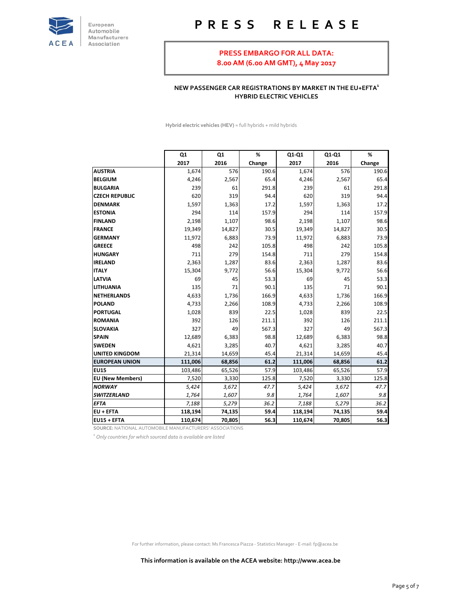

# **P R E S S R E L E A S E**

#### **PRESS EMBARGO FOR ALL DATA: 8.00 AM (6.00 AM GMT), 4 May 2017**

#### **NEW PASSENGER CAR REGISTRATIONS BY MARKET IN THE EU+EFTA<sup>1</sup> HYBRID ELECTRIC VEHICLES**

**Hybrid electric vehicles (HEV)** = full hybrids + mild hybrids

|                                                         | Q <sub>1</sub> | Q1     | %      | Q1-Q1   | Q1-Q1  | %      |
|---------------------------------------------------------|----------------|--------|--------|---------|--------|--------|
|                                                         | 2017           | 2016   | Change | 2017    | 2016   | Change |
| <b>AUSTRIA</b>                                          | 1,674          | 576    | 190.6  | 1,674   | 576    | 190.6  |
| <b>BELGIUM</b>                                          | 4,246          | 2,567  | 65.4   | 4,246   | 2,567  | 65.4   |
| <b>BULGARIA</b>                                         | 239            | 61     | 291.8  | 239     | 61     | 291.8  |
| <b>CZECH REPUBLIC</b>                                   | 620            | 319    | 94.4   | 620     | 319    | 94.4   |
| <b>DENMARK</b>                                          | 1,597          | 1,363  | 17.2   | 1,597   | 1,363  | 17.2   |
| <b>ESTONIA</b>                                          | 294            | 114    | 157.9  | 294     | 114    | 157.9  |
| <b>FINLAND</b>                                          | 2,198          | 1,107  | 98.6   | 2,198   | 1,107  | 98.6   |
| <b>FRANCE</b>                                           | 19,349         | 14,827 | 30.5   | 19,349  | 14,827 | 30.5   |
| <b>GERMANY</b>                                          | 11,972         | 6,883  | 73.9   | 11,972  | 6,883  | 73.9   |
| <b>GREECE</b>                                           | 498            | 242    | 105.8  | 498     | 242    | 105.8  |
| <b>HUNGARY</b>                                          | 711            | 279    | 154.8  | 711     | 279    | 154.8  |
| <b>IRELAND</b>                                          | 2,363          | 1,287  | 83.6   | 2,363   | 1,287  | 83.6   |
| <b>ITALY</b>                                            | 15,304         | 9,772  | 56.6   | 15,304  | 9,772  | 56.6   |
| <b>LATVIA</b>                                           | 69             | 45     | 53.3   | 69      | 45     | 53.3   |
| <b>LITHUANIA</b>                                        | 135            | 71     | 90.1   | 135     | 71     | 90.1   |
| <b>NETHERLANDS</b>                                      | 4,633          | 1,736  | 166.9  | 4,633   | 1,736  | 166.9  |
| <b>POLAND</b>                                           | 4,733          | 2,266  | 108.9  | 4,733   | 2,266  | 108.9  |
| <b>PORTUGAL</b>                                         | 1,028          | 839    | 22.5   | 1,028   | 839    | 22.5   |
| <b>ROMANIA</b>                                          | 392            | 126    | 211.1  | 392     | 126    | 211.1  |
| <b>SLOVAKIA</b>                                         | 327            | 49     | 567.3  | 327     | 49     | 567.3  |
| <b>SPAIN</b>                                            | 12,689         | 6,383  | 98.8   | 12,689  | 6,383  | 98.8   |
| <b>SWEDEN</b>                                           | 4,621          | 3,285  | 40.7   | 4,621   | 3,285  | 40.7   |
| <b>UNITED KINGDOM</b>                                   | 21,314         | 14,659 | 45.4   | 21,314  | 14,659 | 45.4   |
| <b>EUROPEAN UNION</b>                                   | 111,006        | 68,856 | 61.2   | 111,006 | 68,856 | 61.2   |
| <b>EU15</b>                                             | 103,486        | 65,526 | 57.9   | 103,486 | 65,526 | 57.9   |
| <b>EU (New Members)</b>                                 | 7,520          | 3,330  | 125.8  | 7,520   | 3,330  | 125.8  |
| <b>NORWAY</b>                                           | 5,424          | 3,672  | 47.7   | 5,424   | 3,672  | 47.7   |
| <b>SWITZERLAND</b>                                      | 1,764          | 1,607  | 9.8    | 1,764   | 1,607  | 9.8    |
| <b>EFTA</b>                                             | 7,188          | 5,279  | 36.2   | 7,188   | 5,279  | 36.2   |
| <b>EU + EFTA</b>                                        | 118,194        | 74,135 | 59.4   | 118,194 | 74,135 | 59.4   |
| EU15 + EFTA                                             | 110,674        | 70,805 | 56.3   | 110,674 | 70,805 | 56.3   |
| SOURCE: NATIONAL AUTOMOBILE MANUFACTURERS' ASSOCIATIONS |                |        |        |         |        |        |

*1 Only countries for which sourced data is available are listed*

For further information, please contact: Ms Francesca Piazza ‐ Statistics Manager ‐ E‐mail: fp@acea.be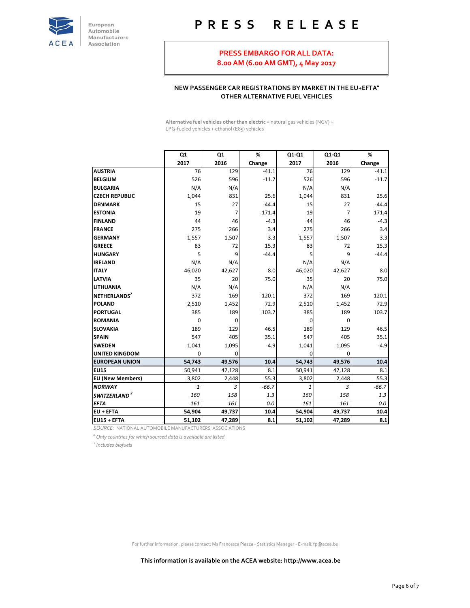

# **P R E S S R E L E A S E**

# **PRESS EMBARGO FOR ALL DATA:**

**8.00 AM (6.00 AM GMT), 4 May 2017**

#### **NEW PASSENGER CAR REGISTRATIONS BY MARKET IN THE EU+EFTA<sup>1</sup> OTHER ALTERNATIVE FUEL VEHICLES**

**Alternative fuel vehicles other than electric** = natural gas vehicles (NGV) + LPG‐fueled vehicles + ethanol (E85) vehicles

|                                                         | Q1     | Q1          | %       | Q1-Q1  | Q1-Q1       | %       |
|---------------------------------------------------------|--------|-------------|---------|--------|-------------|---------|
|                                                         | 2017   | 2016        | Change  | 2017   | 2016        | Change  |
| <b>AUSTRIA</b>                                          | 76     | 129         | $-41.1$ | 76     | 129         | $-41.1$ |
| <b>BELGIUM</b>                                          | 526    | 596         | $-11.7$ | 526    | 596         | $-11.7$ |
| <b>BULGARIA</b>                                         | N/A    | N/A         |         | N/A    | N/A         |         |
| <b>CZECH REPUBLIC</b>                                   | 1,044  | 831         | 25.6    | 1,044  | 831         | 25.6    |
| <b>DENMARK</b>                                          | 15     | 27          | $-44.4$ | 15     | 27          | $-44.4$ |
| <b>ESTONIA</b>                                          | 19     | 7           | 171.4   | 19     | 7           | 171.4   |
| <b>FINLAND</b>                                          | 44     | 46          | $-4.3$  | 44     | 46          | $-4.3$  |
| <b>FRANCE</b>                                           | 275    | 266         | 3.4     | 275    | 266         | 3.4     |
| <b>GERMANY</b>                                          | 1,557  | 1,507       | 3.3     | 1,557  | 1,507       | 3.3     |
| <b>GREECE</b>                                           | 83     | 72          | 15.3    | 83     | 72          | 15.3    |
| <b>HUNGARY</b>                                          | 5      | 9           | $-44.4$ | 5      | 9           | $-44.4$ |
| <b>IRELAND</b>                                          | N/A    | N/A         |         | N/A    | N/A         |         |
| <b>ITALY</b>                                            | 46,020 | 42,627      | 8.0     | 46,020 | 42,627      | 8.0     |
| <b>LATVIA</b>                                           | 35     | 20          | 75.0    | 35     | 20          | 75.0    |
| <b>LITHUANIA</b>                                        | N/A    | N/A         |         | N/A    | N/A         |         |
| NETHERLANDS <sup>2</sup>                                | 372    | 169         | 120.1   | 372    | 169         | 120.1   |
| <b>POLAND</b>                                           | 2,510  | 1,452       | 72.9    | 2,510  | 1,452       | 72.9    |
| <b>PORTUGAL</b>                                         | 385    | 189         | 103.7   | 385    | 189         | 103.7   |
| <b>ROMANIA</b>                                          | 0      | $\mathbf 0$ |         | 0      | $\mathbf 0$ |         |
| <b>SLOVAKIA</b>                                         | 189    | 129         | 46.5    | 189    | 129         | 46.5    |
| <b>SPAIN</b>                                            | 547    | 405         | 35.1    | 547    | 405         | 35.1    |
| <b>SWEDEN</b>                                           | 1,041  | 1,095       | $-4.9$  | 1,041  | 1,095       | $-4.9$  |
| <b>UNITED KINGDOM</b>                                   | 0      | 0           |         | 0      | 0           |         |
| <b>EUROPEAN UNION</b>                                   | 54,743 | 49,576      | 10.4    | 54,743 | 49,576      | 10.4    |
| <b>EU15</b>                                             | 50,941 | 47,128      | 8.1     | 50,941 | 47,128      | 8.1     |
| <b>EU (New Members)</b>                                 | 3,802  | 2,448       | 55.3    | 3,802  | 2,448       | 55.3    |
| <b>NORWAY</b>                                           | 1      | 3           | $-66.7$ | 1      | 3           | $-66.7$ |
| SWITZERLAND <sup>2</sup>                                | 160    | 158         | 1.3     | 160    | 158         | 1.3     |
| <b>EFTA</b>                                             | 161    | 161         | 0.0     | 161    | 161         | 0.0     |
| <b>EU + EFTA</b>                                        | 54,904 | 49,737      | 10.4    | 54,904 | 49,737      | 10.4    |
| EU15 + EFTA                                             | 51,102 | 47,289      | 8.1     | 51,102 | 47,289      | 8.1     |
| SOURCE: NATIONAL AUTOMOBILE MANUFACTURERS' ASSOCIATIONS |        |             |         |        |             |         |

*1 Only countries for which sourced data is available are listed*

*<sup>2</sup> Includes biofuels*

For further information, please contact: Ms Francesca Piazza ‐ Statistics Manager ‐ E‐mail: fp@acea.be